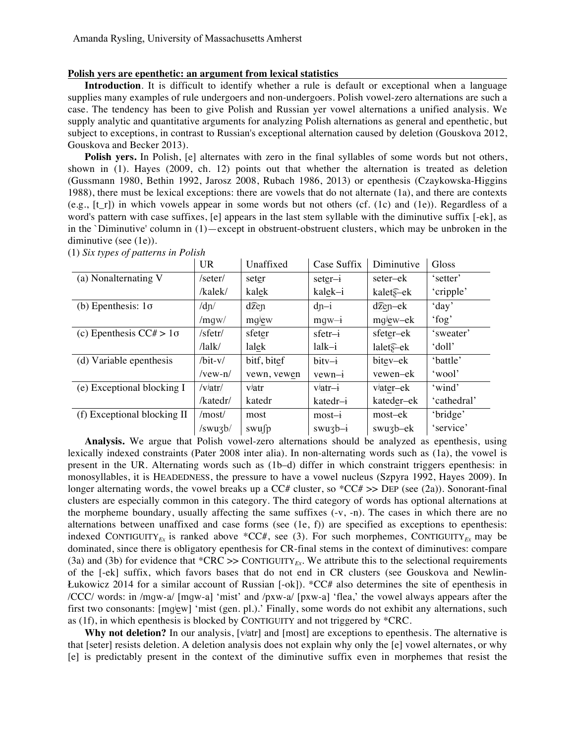## **Polish yers are epenthetic: an argument from lexical statistics**

**Introduction**. It is difficult to identify whether a rule is default or exceptional when a language supplies many examples of rule undergoers and non-undergoers. Polish vowel-zero alternations are such a case. The tendency has been to give Polish and Russian yer vowel alternations a unified analysis. We supply analytic and quantitative arguments for analyzing Polish alternations as general and epenthetic, but subject to exceptions, in contrast to Russian's exceptional alternation caused by deletion (Gouskova 2012, Gouskova and Becker 2013).

**Polish yers.** In Polish, [e] alternates with zero in the final syllables of some words but not others, shown in (1). Hayes (2009, ch. 12) points out that whether the alternation is treated as deletion (Gussmann 1980, Bethin 1992, Jarosz 2008, Rubach 1986, 2013) or epenthesis (Czaykowska-Higgins 1988), there must be lexical exceptions: there are vowels that do not alternate (1a), and there are contexts (e.g.,  $[t_r]$ ) in which vowels appear in some words but not others (cf. (1c) and (1e)). Regardless of a word's pattern with case suffixes, [e] appears in the last stem syllable with the diminutive suffix [-ek], as in the `Diminutive' column in (1)—except in obstruent-obstruent clusters, which may be unbroken in the diminutive (see (1e)).

|                                | <b>UR</b>                     | Unaffixed         | Case Suffix | Diminutive           | Gloss       |
|--------------------------------|-------------------------------|-------------------|-------------|----------------------|-------------|
| (a) Nonalternating V           | $/$ seter $/$                 | seter             | $seter-i$   | seter–ek             | 'setter'    |
|                                | /kalek/                       | kalek             | kalek-i     | kalets-ek            | 'cripple'   |
| (b) Epenthesis: $1\sigma$      | /dn/                          | $d\widehat{z}$ en | $dn-i$      | $d\widehat{z}$ en-ek | 'day'       |
|                                | /mqw/                         | mqjew             | $mqw - i$   | mqiew-ek             | 'fog'       |
| (c) Epenthesis $CC# > 1\sigma$ | /sfetr/                       | sfeter            | $sfetr-i$   | sfeter–ek            | 'sweater'   |
|                                | $\frac{\text{llk}}{\text{l}}$ | lalek             | $lalk-i$    | lalets-ek            | 'doll'      |
| (d) Variable epenthesis        | $/bit-v/$                     | bitf, bitef       | $bitv-i$    | bitev–ek             | 'battle'    |
|                                | $/$ vew-n $/$                 | vewn, vewen       | $vewn-i$    | vewen–ek             | 'wool'      |
| (e) Exceptional blocking I     | /v <sup>j</sup> atr/          | viatr             | $vjatr-i$   | viater-ek            | 'wind'      |
|                                | /katedr/                      | katedr            | katedr-i    | kateder-ek           | 'cathedral' |
| (f) Exceptional blocking II    | /most/                        | most              | $most-i$    | most–ek              | 'bridge'    |
|                                | /swuzb/                       | swufp             | $swu3b-i$   | swuzb-ek             | 'service'   |

(1) *Six types of patterns in Polish*

**Analysis.** We argue that Polish vowel-zero alternations should be analyzed as epenthesis, using lexically indexed constraints (Pater 2008 inter alia). In non-alternating words such as (1a), the vowel is present in the UR. Alternating words such as (1b–d) differ in which constraint triggers epenthesis: in monosyllables, it is HEADEDNESS, the pressure to have a vowel nucleus (Szpyra 1992, Hayes 2009). In longer alternating words, the vowel breaks up a CC# cluster, so  ${^*CC#}>>$  DEP (see (2a)). Sonorant-final clusters are especially common in this category. The third category of words has optional alternations at the morpheme boundary, usually affecting the same suffixes (-v, -n). The cases in which there are no alternations between unaffixed and case forms (see (1e, f)) are specified as exceptions to epenthesis: indexed CONTIGUITY<sub>EX</sub> is ranked above \*CC#, see (3). For such morphemes, CONTIGUITY<sub>EX</sub> may be dominated, since there is obligatory epenthesis for CR-final stems in the context of diminutives: compare (3a) and (3b) for evidence that  $^*$ CRC >> CONTIGUITY<sub>*Ex*</sub>. We attribute this to the selectional requirements of the [-ek] suffix, which favors bases that do not end in CR clusters (see Gouskova and Newlin-Łukowicz 2014 for a similar account of Russian [-ok]). \*CC# also determines the site of epenthesis in /CCC/ words: in /mɡw-a/ [mɡw-a] 'mist' and /pxw-a/ [pxw-a] 'flea,' the vowel always appears after the first two consonants: [mglew] 'mist (gen. pl.).' Finally, some words do not exhibit any alternations, such as (1f), in which epenthesis is blocked by CONTIGUITY and not triggered by \*CRC.

**Why not deletion?** In our analysis, [vʲatr] and [most] are exceptions to epenthesis. The alternative is that [seter] resists deletion. A deletion analysis does not explain why only the [e] vowel alternates, or why [e] is predictably present in the context of the diminutive suffix even in morphemes that resist the